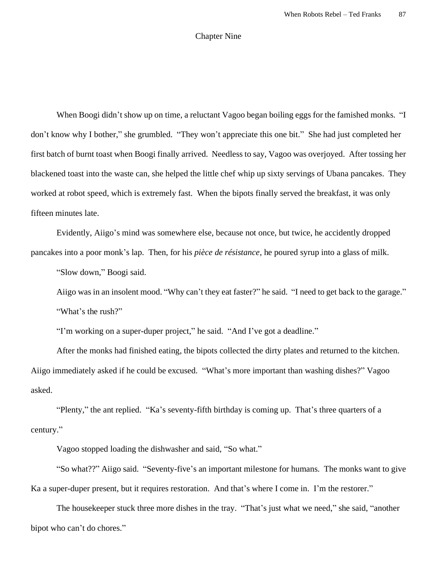## Chapter Nine

When Boogi didn't show up on time, a reluctant Vagoo began boiling eggs for the famished monks. "I don't know why I bother," she grumbled. "They won't appreciate this one bit." She had just completed her first batch of burnt toast when Boogi finally arrived. Needless to say, Vagoo was overjoyed. After tossing her blackened toast into the waste can, she helped the little chef whip up sixty servings of Ubana pancakes. They worked at robot speed, which is extremely fast. When the bipots finally served the breakfast, it was only fifteen minutes late.

Evidently, Aiigo's mind was somewhere else, because not once, but twice, he accidently dropped pancakes into a poor monk's lap. Then, for his *pièce de résistance*, he poured syrup into a glass of milk.

"Slow down," Boogi said.

Aiigo was in an insolent mood. "Why can't they eat faster?" he said. "I need to get back to the garage." "What's the rush?"

"I'm working on a super-duper project," he said. "And I've got a deadline."

After the monks had finished eating, the bipots collected the dirty plates and returned to the kitchen. Aiigo immediately asked if he could be excused. "What's more important than washing dishes?" Vagoo asked.

"Plenty," the ant replied. "Ka's seventy-fifth birthday is coming up. That's three quarters of a century."

Vagoo stopped loading the dishwasher and said, "So what."

"So what??" Aiigo said. "Seventy-five's an important milestone for humans. The monks want to give Ka a super-duper present, but it requires restoration. And that's where I come in. I'm the restorer."

The housekeeper stuck three more dishes in the tray. "That's just what we need," she said, "another bipot who can't do chores."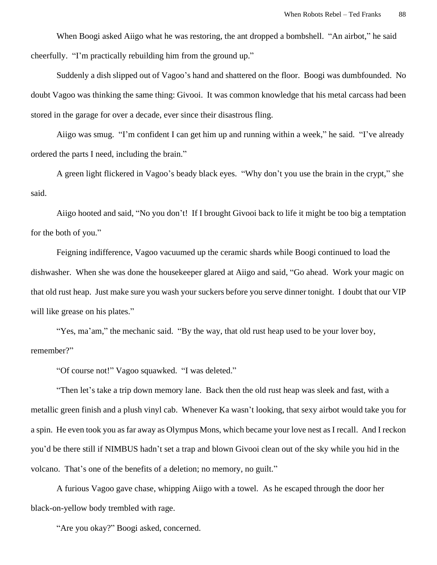When Boogi asked Aiigo what he was restoring, the ant dropped a bombshell. "An airbot," he said cheerfully. "I'm practically rebuilding him from the ground up."

Suddenly a dish slipped out of Vagoo's hand and shattered on the floor. Boogi was dumbfounded. No doubt Vagoo was thinking the same thing: Givooi. It was common knowledge that his metal carcass had been stored in the garage for over a decade, ever since their disastrous fling.

Aiigo was smug. "I'm confident I can get him up and running within a week," he said. "I've already ordered the parts I need, including the brain."

A green light flickered in Vagoo's beady black eyes. "Why don't you use the brain in the crypt," she said.

Aiigo hooted and said, "No you don't! If I brought Givooi back to life it might be too big a temptation for the both of you."

Feigning indifference, Vagoo vacuumed up the ceramic shards while Boogi continued to load the dishwasher. When she was done the housekeeper glared at Aiigo and said, "Go ahead. Work your magic on that old rust heap. Just make sure you wash your suckers before you serve dinner tonight. I doubt that our VIP will like grease on his plates."

"Yes, ma'am," the mechanic said. "By the way, that old rust heap used to be your lover boy, remember?"

"Of course not!" Vagoo squawked. "I was deleted."

"Then let's take a trip down memory lane. Back then the old rust heap was sleek and fast, with a metallic green finish and a plush vinyl cab. Whenever Ka wasn't looking, that sexy airbot would take you for a spin. He even took you as far away as Olympus Mons, which became your love nest as I recall. And I reckon you'd be there still if NIMBUS hadn't set a trap and blown Givooi clean out of the sky while you hid in the volcano. That's one of the benefits of a deletion; no memory, no guilt."

A furious Vagoo gave chase, whipping Aiigo with a towel. As he escaped through the door her black-on-yellow body trembled with rage.

"Are you okay?" Boogi asked, concerned.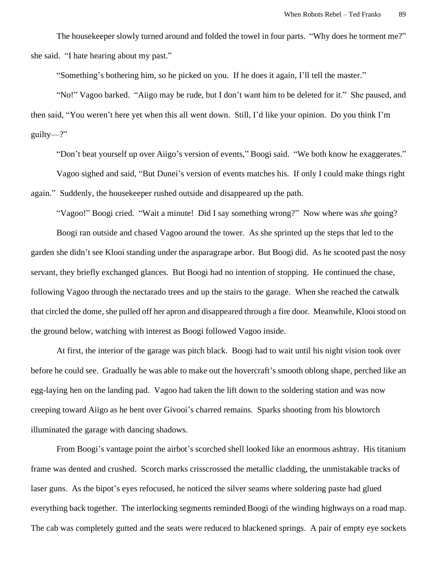The housekeeper slowly turned around and folded the towel in four parts. "Why does he torment me?" she said. "I hate hearing about my past."

"Something's bothering him, so he picked on you. If he does it again, I'll tell the master."

"No!" Vagoo barked. "Aiigo may be rude, but I don't want him to be deleted for it." She paused, and then said, "You weren't here yet when this all went down. Still, I'd like your opinion. Do you think I'm guilty—?"

"Don't beat yourself up over Aiigo's version of events," Boogi said. "We both know he exaggerates." Vagoo sighed and said, "But Dunei's version of events matches his. If only I could make things right again." Suddenly, the housekeeper rushed outside and disappeared up the path.

"Vagoo!" Boogi cried. "Wait a minute! Did I say something wrong?" Now where was *she* going?

Boogi ran outside and chased Vagoo around the tower. As she sprinted up the steps that led to the garden she didn't see Klooi standing under the asparagrape arbor. But Boogi did. As he scooted past the nosy servant, they briefly exchanged glances. But Boogi had no intention of stopping. He continued the chase, following Vagoo through the nectarado trees and up the stairs to the garage. When she reached the catwalk that circled the dome, she pulled off her apron and disappeared through a fire door. Meanwhile, Klooi stood on the ground below, watching with interest as Boogi followed Vagoo inside.

At first, the interior of the garage was pitch black. Boogi had to wait until his night vision took over before he could see. Gradually he was able to make out the hovercraft's smooth oblong shape, perched like an egg-laying hen on the landing pad. Vagoo had taken the lift down to the soldering station and was now creeping toward Aiigo as he bent over Givooi's charred remains. Sparks shooting from his blowtorch illuminated the garage with dancing shadows.

From Boogi's vantage point the airbot's scorched shell looked like an enormous ashtray. His titanium frame was dented and crushed. Scorch marks crisscrossed the metallic cladding, the unmistakable tracks of laser guns. As the bipot's eyes refocused, he noticed the silver seams where soldering paste had glued everything back together. The interlocking segments reminded Boogi of the winding highways on a road map. The cab was completely gutted and the seats were reduced to blackened springs. A pair of empty eye sockets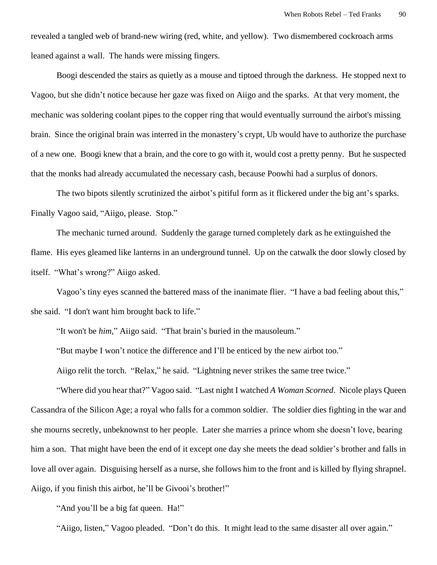revealed a tangled web of brand-new wiring (red, white, and yellow). Two dismembered cockroach arms leaned against a wall. The hands were missing fingers.

Boogi descended the stairs as quietly as a mouse and tiptoed through the darkness. He stopped next to Vagoo, but she didn't notice because her gaze was fixed on Aiigo and the sparks. At that very moment, the mechanic was soldering coolant pipes to the copper ring that would eventually surround the airbot's missing brain. Since the original brain was interred in the monastery's crypt, Ub would have to authorize the purchase of a new one. Boogi knew that a brain, and the core to go with it, would cost a pretty penny. But he suspected that the monks had already accumulated the necessary cash, because Poowhi had a surplus of donors.

The two bipots silently scrutinized the airbot's pitiful form as it flickered under the big ant's sparks. Finally Vagoo said, "Aiigo, please. Stop."

The mechanic turned around. Suddenly the garage turned completely dark as he extinguished the flame. His eyes gleamed like lanterns in an underground tunnel. Up on the catwalk the door slowly closed by itself. "What's wrong?" Aiigo asked.

Vagoo's tiny eyes scanned the battered mass of the inanimate flier. "I have a bad feeling about this," she said. "I don't want him brought back to life."

"It won't be *him*," Aiigo said. "That brain's buried in the mausoleum."

"But maybe I won't notice the difference and I'll be enticed by the new airbot too."

Aiigo relit the torch. "Relax," he said. "Lightning never strikes the same tree twice."

"Where did you hear that?" Vagoo said. "Last night I watched *A Woman Scorned*. Nicole plays Queen Cassandra of the Silicon Age; a royal who falls for a common soldier. The soldier dies fighting in the war and she mourns secretly, unbeknownst to her people. Later she marries a prince whom she doesn't love, bearing him a son. That might have been the end of it except one day she meets the dead soldier's brother and falls in love all over again. Disguising herself as a nurse, she follows him to the front and is killed by flying shrapnel. Aiigo, if you finish this airbot, he'll be Givooi's brother!"

"And you'll be a big fat queen. Ha!"

"Aiigo, listen," Vagoo pleaded. "Don't do this. It might lead to the same disaster all over again."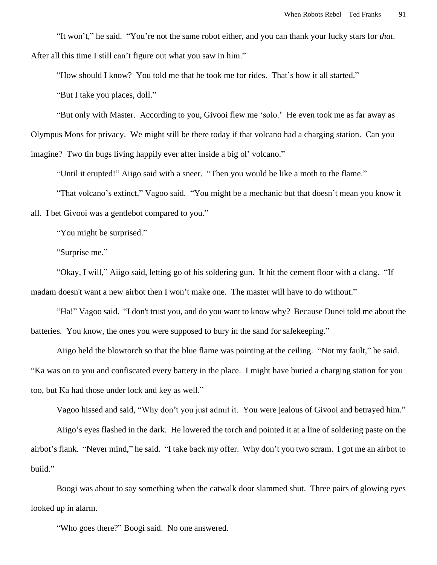"It won't," he said. "You're not the same robot either, and you can thank your lucky stars for *that*. After all this time I still can't figure out what you saw in him."

"How should I know? You told me that he took me for rides. That's how it all started."

"But I take you places, doll."

"But only with Master. According to you, Givooi flew me 'solo.' He even took me as far away as Olympus Mons for privacy. We might still be there today if that volcano had a charging station. Can you imagine? Two tin bugs living happily ever after inside a big ol' volcano."

"Until it erupted!" Aiigo said with a sneer. "Then you would be like a moth to the flame."

"That volcano's extinct," Vagoo said. "You might be a mechanic but that doesn't mean you know it all. I bet Givooi was a gentlebot compared to you."

"You might be surprised."

"Surprise me."

"Okay, I will," Aiigo said, letting go of his soldering gun. It hit the cement floor with a clang. "If madam doesn't want a new airbot then I won't make one. The master will have to do without."

"Ha!" Vagoo said. "I don't trust you, and do you want to know why? Because Dunei told me about the batteries. You know, the ones you were supposed to bury in the sand for safekeeping."

Aiigo held the blowtorch so that the blue flame was pointing at the ceiling. "Not my fault," he said. "Ka was on to you and confiscated every battery in the place. I might have buried a charging station for you too, but Ka had those under lock and key as well."

Vagoo hissed and said, "Why don't you just admit it. You were jealous of Givooi and betrayed him."

Aiigo's eyes flashed in the dark. He lowered the torch and pointed it at a line of soldering paste on the airbot's flank. "Never mind," he said. "I take back my offer. Why don't you two scram. I got me an airbot to build."

Boogi was about to say something when the catwalk door slammed shut. Three pairs of glowing eyes looked up in alarm.

"Who goes there?" Boogi said. No one answered.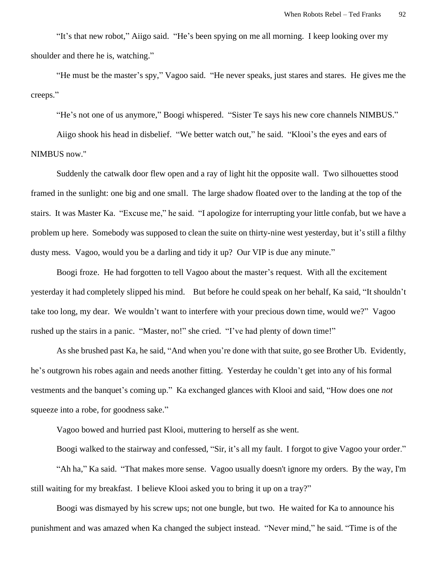"It's that new robot," Aiigo said. "He's been spying on me all morning. I keep looking over my shoulder and there he is, watching."

"He must be the master's spy," Vagoo said. "He never speaks, just stares and stares. He gives me the creeps."

"He's not one of us anymore," Boogi whispered. "Sister Te says his new core channels NIMBUS."

Aiigo shook his head in disbelief. "We better watch out," he said. "Klooi's the eyes and ears of NIMBUS now."

Suddenly the catwalk door flew open and a ray of light hit the opposite wall. Two silhouettes stood framed in the sunlight: one big and one small. The large shadow floated over to the landing at the top of the stairs. It was Master Ka. "Excuse me," he said. "I apologize for interrupting your little confab, but we have a problem up here. Somebody was supposed to clean the suite on thirty-nine west yesterday, but it's still a filthy dusty mess. Vagoo, would you be a darling and tidy it up? Our VIP is due any minute."

Boogi froze. He had forgotten to tell Vagoo about the master's request. With all the excitement yesterday it had completely slipped his mind. But before he could speak on her behalf, Ka said, "It shouldn't take too long, my dear. We wouldn't want to interfere with your precious down time, would we?" Vagoo rushed up the stairs in a panic. "Master, no!" she cried. "I've had plenty of down time!"

As she brushed past Ka, he said, "And when you're done with that suite, go see Brother Ub. Evidently, he's outgrown his robes again and needs another fitting. Yesterday he couldn't get into any of his formal vestments and the banquet's coming up." Ka exchanged glances with Klooi and said, "How does one *not* squeeze into a robe, for goodness sake."

Vagoo bowed and hurried past Klooi, muttering to herself as she went.

Boogi walked to the stairway and confessed, "Sir, it's all my fault. I forgot to give Vagoo your order."

"Ah ha," Ka said. "That makes more sense. Vagoo usually doesn't ignore my orders. By the way, I'm still waiting for my breakfast. I believe Klooi asked you to bring it up on a tray?"

Boogi was dismayed by his screw ups; not one bungle, but two. He waited for Ka to announce his punishment and was amazed when Ka changed the subject instead. "Never mind," he said. "Time is of the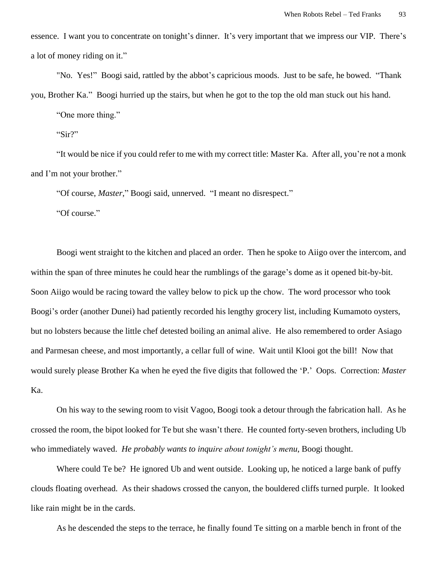essence. I want you to concentrate on tonight's dinner. It's very important that we impress our VIP. There's a lot of money riding on it."

"No. Yes!" Boogi said, rattled by the abbot's capricious moods. Just to be safe, he bowed. "Thank you, Brother Ka." Boogi hurried up the stairs, but when he got to the top the old man stuck out his hand.

"One more thing."

"Sir?"

"It would be nice if you could refer to me with my correct title: Master Ka. After all, you're not a monk and I'm not your brother."

"Of course, *Master*," Boogi said, unnerved. "I meant no disrespect."

"Of course."

Boogi went straight to the kitchen and placed an order. Then he spoke to Aiigo over the intercom, and within the span of three minutes he could hear the rumblings of the garage's dome as it opened bit-by-bit. Soon Aiigo would be racing toward the valley below to pick up the chow. The word processor who took Boogi's order (another Dunei) had patiently recorded his lengthy grocery list, including Kumamoto oysters, but no lobsters because the little chef detested boiling an animal alive. He also remembered to order Asiago and Parmesan cheese, and most importantly, a cellar full of wine. Wait until Klooi got the bill! Now that would surely please Brother Ka when he eyed the five digits that followed the 'P.' Oops. Correction: *Master* Ka.

On his way to the sewing room to visit Vagoo, Boogi took a detour through the fabrication hall. As he crossed the room, the bipot looked for Te but she wasn't there. He counted forty-seven brothers, including Ub who immediately waved. *He probably wants to inquire about tonight's menu*, Boogi thought.

Where could Te be? He ignored Ub and went outside. Looking up, he noticed a large bank of puffy clouds floating overhead. As their shadows crossed the canyon, the bouldered cliffs turned purple. It looked like rain might be in the cards.

As he descended the steps to the terrace, he finally found Te sitting on a marble bench in front of the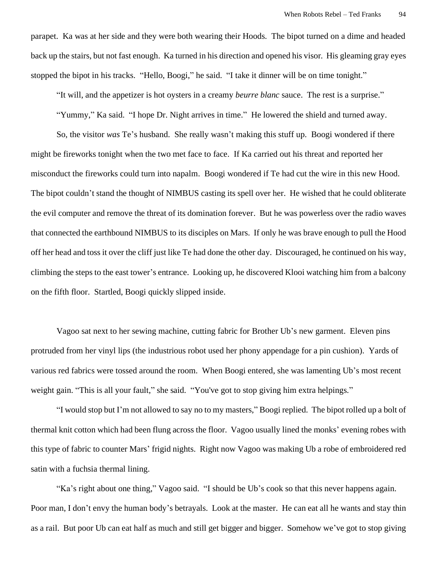parapet. Ka was at her side and they were both wearing their Hoods. The bipot turned on a dime and headed back up the stairs, but not fast enough. Ka turned in his direction and opened his visor. His gleaming gray eyes stopped the bipot in his tracks. "Hello, Boogi," he said. "I take it dinner will be on time tonight."

"It will, and the appetizer is hot oysters in a creamy *beurre blanc* sauce. The rest is a surprise."

"Yummy," Ka said. "I hope Dr. Night arrives in time." He lowered the shield and turned away.

So, the visitor *was* Te's husband. She really wasn't making this stuff up. Boogi wondered if there might be fireworks tonight when the two met face to face. If Ka carried out his threat and reported her misconduct the fireworks could turn into napalm. Boogi wondered if Te had cut the wire in this new Hood. The bipot couldn't stand the thought of NIMBUS casting its spell over her. He wished that he could obliterate the evil computer and remove the threat of its domination forever. But he was powerless over the radio waves that connected the earthbound NIMBUS to its disciples on Mars. If only he was brave enough to pull the Hood off her head and toss it over the cliff just like Te had done the other day. Discouraged, he continued on his way, climbing the steps to the east tower's entrance. Looking up, he discovered Klooi watching him from a balcony on the fifth floor. Startled, Boogi quickly slipped inside.

Vagoo sat next to her sewing machine, cutting fabric for Brother Ub's new garment. Eleven pins protruded from her vinyl lips (the industrious robot used her phony appendage for a pin cushion). Yards of various red fabrics were tossed around the room. When Boogi entered, she was lamenting Ub's most recent weight gain. "This is all your fault," she said. "You've got to stop giving him extra helpings."

"I would stop but I'm not allowed to say no to my masters," Boogi replied. The bipot rolled up a bolt of thermal knit cotton which had been flung across the floor. Vagoo usually lined the monks' evening robes with this type of fabric to counter Mars' frigid nights. Right now Vagoo was making Ub a robe of embroidered red satin with a fuchsia thermal lining.

"Ka's right about one thing," Vagoo said. "I should be Ub's cook so that this never happens again. Poor man, I don't envy the human body's betrayals. Look at the master. He can eat all he wants and stay thin as a rail. But poor Ub can eat half as much and still get bigger and bigger. Somehow we've got to stop giving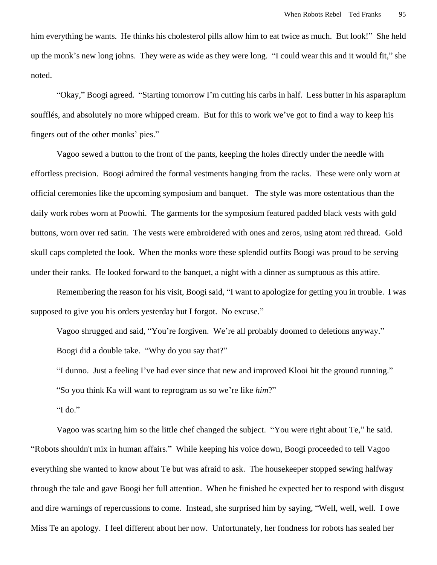him everything he wants. He thinks his cholesterol pills allow him to eat twice as much. But look!" She held up the monk's new long johns. They were as wide as they were long. "I could wear this and it would fit," she noted.

"Okay," Boogi agreed. "Starting tomorrow I'm cutting his carbs in half. Less butter in his asparaplum soufflés, and absolutely no more whipped cream. But for this to work we've got to find a way to keep his fingers out of the other monks' pies."

Vagoo sewed a button to the front of the pants, keeping the holes directly under the needle with effortless precision. Boogi admired the formal vestments hanging from the racks. These were only worn at official ceremonies like the upcoming symposium and banquet. The style was more ostentatious than the daily work robes worn at Poowhi. The garments for the symposium featured padded black vests with gold buttons, worn over red satin. The vests were embroidered with ones and zeros, using atom red thread. Gold skull caps completed the look. When the monks wore these splendid outfits Boogi was proud to be serving under their ranks. He looked forward to the banquet, a night with a dinner as sumptuous as this attire.

Remembering the reason for his visit, Boogi said, "I want to apologize for getting you in trouble. I was supposed to give you his orders yesterday but I forgot. No excuse."

Vagoo shrugged and said, "You're forgiven. We're all probably doomed to deletions anyway." Boogi did a double take. "Why do you say that?"

"I dunno. Just a feeling I've had ever since that new and improved Klooi hit the ground running."

"So you think Ka will want to reprogram us so we're like *him*?"

"I do."

Vagoo was scaring him so the little chef changed the subject. "You were right about Te," he said. "Robots shouldn't mix in human affairs." While keeping his voice down, Boogi proceeded to tell Vagoo everything she wanted to know about Te but was afraid to ask. The housekeeper stopped sewing halfway through the tale and gave Boogi her full attention. When he finished he expected her to respond with disgust and dire warnings of repercussions to come. Instead, she surprised him by saying, "Well, well, well. I owe Miss Te an apology. I feel different about her now. Unfortunately, her fondness for robots has sealed her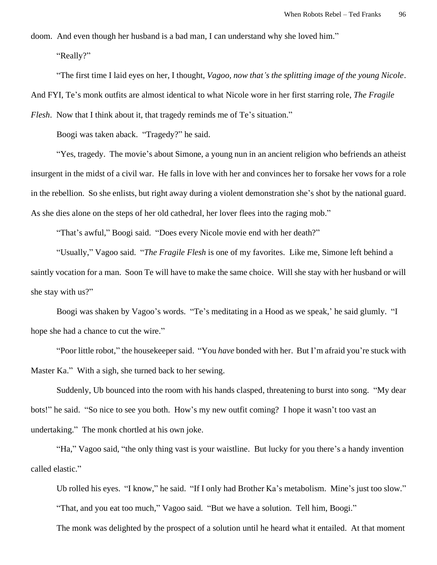doom. And even though her husband is a bad man, I can understand why she loved him."

"Really?"

"The first time I laid eyes on her, I thought, *Vagoo, now that's the splitting image of the young Nicole*. And FYI, Te's monk outfits are almost identical to what Nicole wore in her first starring role, *The Fragile Flesh.* Now that I think about it, that tragedy reminds me of Te's situation."

Boogi was taken aback. "Tragedy?" he said.

"Yes, tragedy. The movie's about Simone, a young nun in an ancient religion who befriends an atheist insurgent in the midst of a civil war. He falls in love with her and convinces her to forsake her vows for a role in the rebellion. So she enlists, but right away during a violent demonstration she's shot by the national guard. As she dies alone on the steps of her old cathedral, her lover flees into the raging mob."

"That's awful," Boogi said. "Does every Nicole movie end with her death?"

"Usually," Vagoo said. "*The Fragile Flesh* is one of my favorites. Like me, Simone left behind a saintly vocation for a man. Soon Te will have to make the same choice. Will she stay with her husband or will she stay with us?"

Boogi was shaken by Vagoo's words. "Te's meditating in a Hood as we speak,' he said glumly. "I hope she had a chance to cut the wire."

"Poor little robot," the housekeeper said. "You *have* bonded with her. But I'm afraid you're stuck with Master Ka." With a sigh, she turned back to her sewing.

Suddenly, Ub bounced into the room with his hands clasped, threatening to burst into song. "My dear bots!" he said. "So nice to see you both. How's my new outfit coming? I hope it wasn't too vast an undertaking." The monk chortled at his own joke.

"Ha," Vagoo said, "the only thing vast is your waistline. But lucky for you there's a handy invention called elastic."

Ub rolled his eyes. "I know," he said. "If I only had Brother Ka's metabolism. Mine's just too slow." "That, and you eat too much," Vagoo said. "But we have a solution. Tell him, Boogi."

The monk was delighted by the prospect of a solution until he heard what it entailed. At that moment